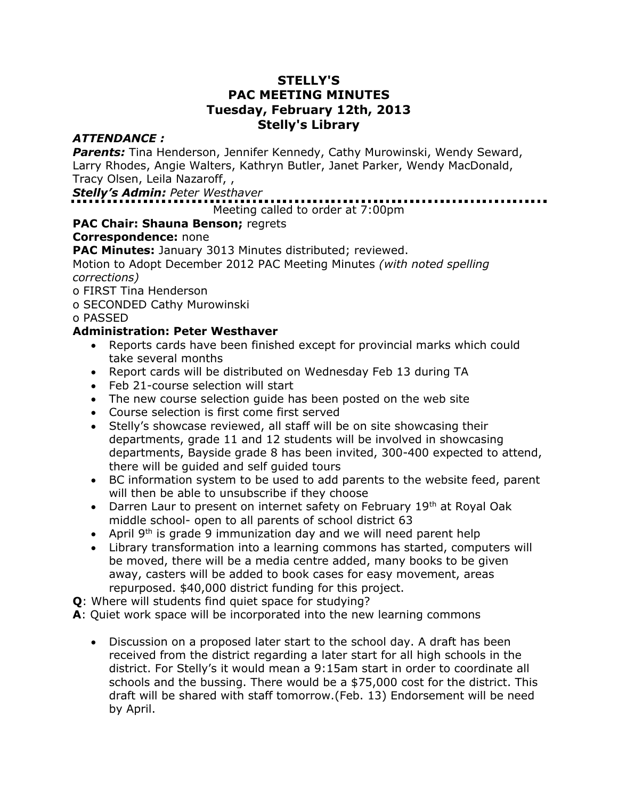#### **STELLY'S PAC MEETING MINUTES Tuesday, February 12th, 2013 Stelly's Library**

# *ATTENDANCE :*

*Parents:* Tina Henderson, Jennifer Kennedy, Cathy Murowinski, Wendy Seward, Larry Rhodes, Angie Walters, Kathryn Butler, Janet Parker, Wendy MacDonald, Tracy Olsen, Leila Nazaroff, ,

#### *Stelly's Admin: Peter Westhaver*

# Meeting called to order at 7:00pm

# **PAC Chair: Shauna Benson;** regrets

#### **Correspondence:** none

**PAC Minutes:** January 3013 Minutes distributed; reviewed.

Motion to Adopt December 2012 PAC Meeting Minutes *(with noted spelling corrections)*

o FIRST Tina Henderson

o SECONDED Cathy Murowinski

#### o PASSED

#### **Administration: Peter Westhaver**

- Reports cards have been finished except for provincial marks which could take several months
- Report cards will be distributed on Wednesday Feb 13 during TA
- Feb 21-course selection will start
- The new course selection guide has been posted on the web site
- Course selection is first come first served
- Stelly's showcase reviewed, all staff will be on site showcasing their departments, grade 11 and 12 students will be involved in showcasing departments, Bayside grade 8 has been invited, 300-400 expected to attend, there will be guided and self guided tours
- BC information system to be used to add parents to the website feed, parent will then be able to unsubscribe if they choose
- Darren Laur to present on internet safety on February  $19<sup>th</sup>$  at Royal Oak middle school- open to all parents of school district 63
- April  $9<sup>th</sup>$  is grade 9 immunization day and we will need parent help
- Library transformation into a learning commons has started, computers will be moved, there will be a media centre added, many books to be given away, casters will be added to book cases for easy movement, areas repurposed. \$40,000 district funding for this project.
- **Q**: Where will students find quiet space for studying?
- **A**: Quiet work space will be incorporated into the new learning commons
	- Discussion on a proposed later start to the school day. A draft has been received from the district regarding a later start for all high schools in the district. For Stelly's it would mean a 9:15am start in order to coordinate all schools and the bussing. There would be a \$75,000 cost for the district. This draft will be shared with staff tomorrow.(Feb. 13) Endorsement will be need by April.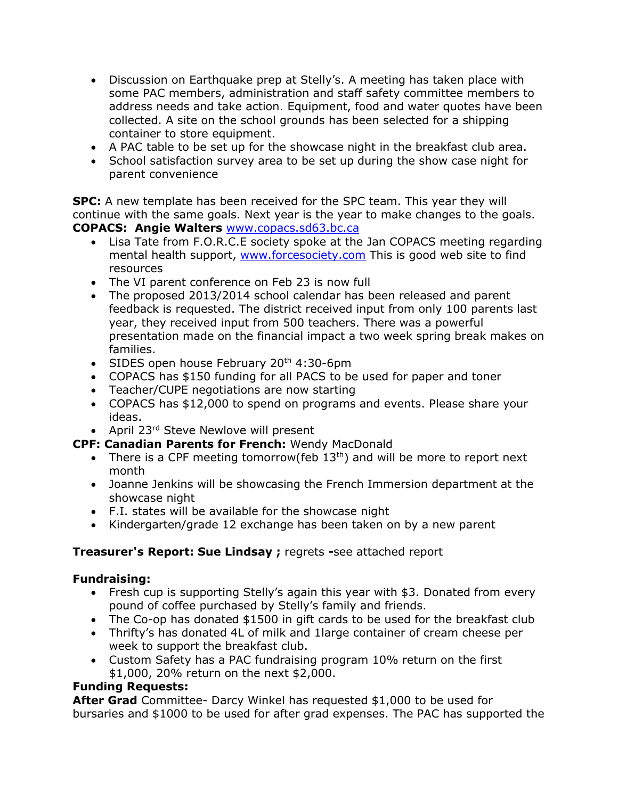- Discussion on Earthquake prep at Stelly's. A meeting has taken place with some PAC members, administration and staff safety committee members to address needs and take action. Equipment, food and water quotes have been collected. A site on the school grounds has been selected for a shipping container to store equipment.
- A PAC table to be set up for the showcase night in the breakfast club area.
- School satisfaction survey area to be set up during the show case night for parent convenience

**SPC:** A new template has been received for the SPC team. This year they will continue with the same goals. Next year is the year to make changes to the goals. **COPACS: Angie Walters** [www.copacs.sd63.bc.ca](http://www.copacs.sd63.bc.ca/)

- Lisa Tate from F.O.R.C.E society spoke at the Jan COPACS meeting regarding mental health support, [www.forcesociety.com](http://www.forcesociety.com/) This is good web site to find resources
- The VI parent conference on Feb 23 is now full
- The proposed 2013/2014 school calendar has been released and parent feedback is requested. The district received input from only 100 parents last year, they received input from 500 teachers. There was a powerful presentation made on the financial impact a two week spring break makes on families.
- SIDES open house February  $20<sup>th</sup>$  4:30-6pm
- COPACS has \$150 funding for all PACS to be used for paper and toner
- Teacher/CUPE negotiations are now starting
- COPACS has \$12,000 to spend on programs and events. Please share your ideas.
- April 23<sup>rd</sup> Steve Newlove will present

# **CPF: Canadian Parents for French:** Wendy MacDonald

- There is a CPF meeting tomorrow(feb  $13<sup>th</sup>$ ) and will be more to report next month
- Joanne Jenkins will be showcasing the French Immersion department at the showcase night
- F.I. states will be available for the showcase night
- Kindergarten/grade 12 exchange has been taken on by a new parent

# **Treasurer's Report: Sue Lindsay ;** regrets **-**see attached report

# **Fundraising:**

- Fresh cup is supporting Stelly's again this year with \$3. Donated from every pound of coffee purchased by Stelly's family and friends.
- The Co-op has donated \$1500 in gift cards to be used for the breakfast club
- Thrifty's has donated 4L of milk and 1large container of cream cheese per week to support the breakfast club.
- Custom Safety has a PAC fundraising program 10% return on the first \$1,000, 20% return on the next \$2,000.

# **Funding Requests:**

**After Grad** Committee- Darcy Winkel has requested \$1,000 to be used for bursaries and \$1000 to be used for after grad expenses. The PAC has supported the